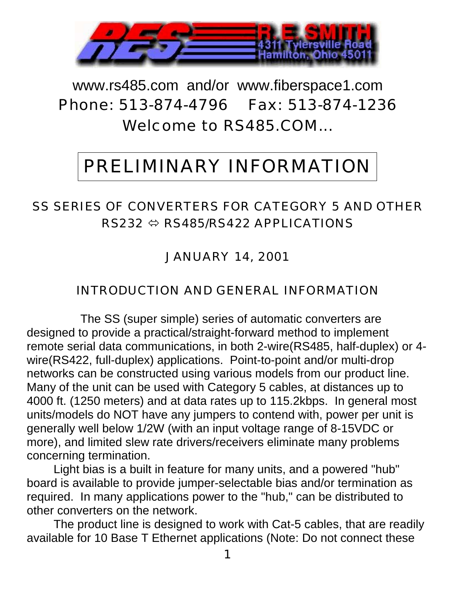

## www.rs485.com and/or www.fiberspace1.com Phone: 513-874-4796 Fax: 513-874-1236 Welcome to RS485.COM...

# PRELIMINARY INFORMATION

### SS SERIES OF CONVERTERS FOR CATEGORY 5 AND OTHER  $RS232 \Leftrightarrow RS485/RS422 APPLICATIONS$

JANUARY 14, 2001

#### INTRODUCTION AND GENERAL INFORMATION

The SS (super simple) series of automatic converters are designed to provide a practical/straight-forward method to implement remote serial data communications, in both 2-wire(RS485, half-duplex) or 4 wire(RS422, full-duplex) applications. Point-to-point and/or multi-drop networks can be constructed using various models from our product line. Many of the unit can be used with Category 5 cables, at distances up to 4000 ft. (1250 meters) and at data rates up to 115.2kbps. In general most units/models do NOT have any jumpers to contend with, power per unit is generally well below 1/2W (with an input voltage range of 8-15VDC or more), and limited slew rate drivers/receivers eliminate many problems concerning termination.

Light bias is a built in feature for many units, and a powered "hub" board is available to provide jumper-selectable bias and/or termination as required. In many applications power to the "hub," can be distributed to other converters on the network.

The product line is designed to work with Cat-5 cables, that are readily available for 10 Base T Ethernet applications (Note: Do not connect these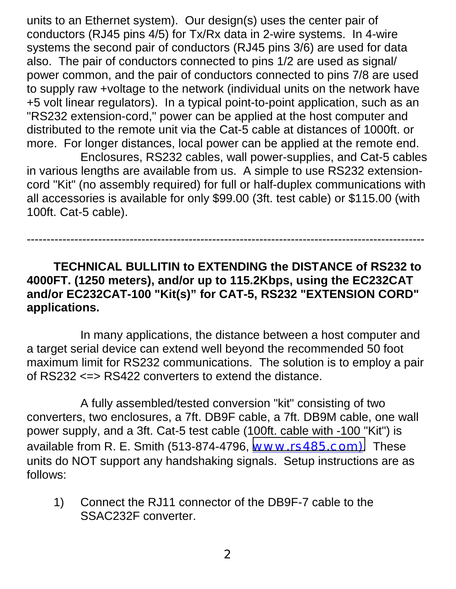units to an Ethernet system). Our design(s) uses the center pair of conductors (RJ45 pins 4/5) for Tx/Rx data in 2-wire systems. In 4-wire systems the second pair of conductors (RJ45 pins 3/6) are used for data also. The pair of conductors connected to pins 1/2 are used as signal/ power common, and the pair of conductors connected to pins 7/8 are used to supply raw +voltage to the network (individual units on the network have +5 volt linear regulators). In a typical point-to-point application, such as an "RS232 extension-cord," power can be applied at the host computer and distributed to the remote unit via the Cat-5 cable at distances of 1000ft. or more. For longer distances, local power can be applied at the remote end. Enclosures, RS232 cables, wall power-supplies, and Cat-5 cables in various lengths are available from us. A simple to use RS232 extensioncord "Kit" (no assembly required) for full or half-duplex communications with all accessories is available for only \$99.00 (3ft. test cable) or \$115.00 (with 100ft. Cat-5 cable).

#### **TECHNICAL BULLITIN to EXTENDING the DISTANCE of RS232 to 4000FT. (1250 meters), and/or up to 115.2Kbps, using the EC232CAT and/or EC232CAT-100 "Kit(s)" for CAT-5, RS232 "EXTENSION CORD" applications.**

-----------------------------------------------------------------------------------------------------

In many applications, the distance between a host computer and a target serial device can extend well beyond the recommended 50 foot maximum limit for RS232 communications. The solution is to employ a pair of RS232 <=> RS422 converters to extend the distance.

A fully assembled/tested conversion "kit" consisting of two converters, two enclosures, a 7ft. DB9F cable, a 7ft. DB9M cable, one wall power supply, and a 3ft. Cat-5 test cable (100ft. cable with -100 "Kit") is available from R. E. Smith (513-874-4796, [www.rs485.com\)](http://www.rs485.com)/). These units do NOT support any handshaking signals. Setup instructions are as follows:

1) Connect the RJ11 connector of the DB9F-7 cable to the SSAC232F converter.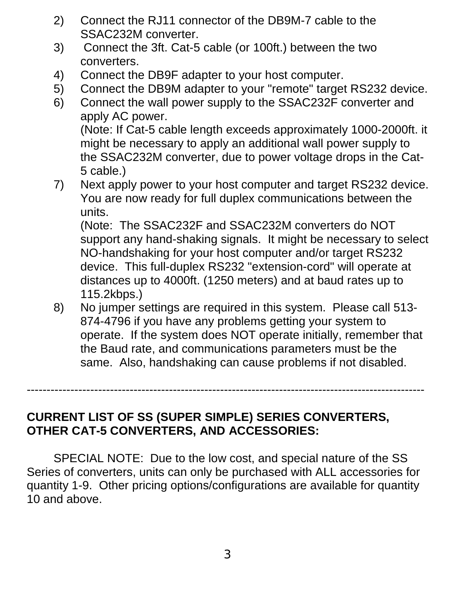- 2) Connect the RJ11 connector of the DB9M-7 cable to the SSAC232M converter.
- 3) Connect the 3ft. Cat-5 cable (or 100ft.) between the two converters.
- 4) Connect the DB9F adapter to your host computer.
- 5) Connect the DB9M adapter to your "remote" target RS232 device.
- 6) Connect the wall power supply to the SSAC232F converter and apply AC power. (Note: If Cat-5 cable length exceeds approximately 1000-2000ft. it might be necessary to apply an additional wall power supply to the SSAC232M converter, due to power voltage drops in the Cat-5 cable.)
- 7) Next apply power to your host computer and target RS232 device. You are now ready for full duplex communications between the units.

(Note: The SSAC232F and SSAC232M converters do NOT support any hand-shaking signals. It might be necessary to select NO-handshaking for your host computer and/or target RS232 device. This full-duplex RS232 "extension-cord" will operate at distances up to 4000ft. (1250 meters) and at baud rates up to 115.2kbps.)

8) No jumper settings are required in this system. Please call 513- 874-4796 if you have any problems getting your system to operate. If the system does NOT operate initially, remember that the Baud rate, and communications parameters must be the same. Also, handshaking can cause problems if not disabled.

**CURRENT LIST OF SS (SUPER SIMPLE) SERIES CONVERTERS, OTHER CAT-5 CONVERTERS, AND ACCESSORIES:**

SPECIAL NOTE: Due to the low cost, and special nature of the SS Series of converters, units can only be purchased with ALL accessories for quantity 1-9. Other pricing options/configurations are available for quantity 10 and above.

-----------------------------------------------------------------------------------------------------